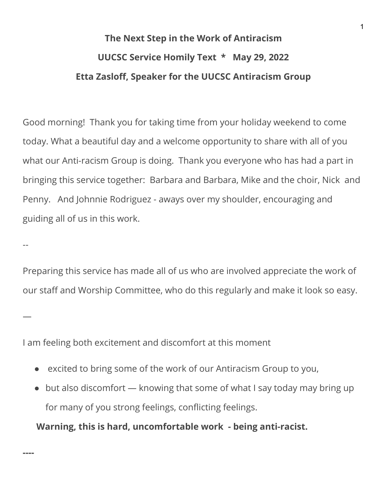## **The Next Step in the Work of Antiracism UUCSC Service Homily Text \* May 29, 2022 Etta Zasloff, Speaker for the UUCSC Antiracism Group**

Good morning! Thank you for taking time from your holiday weekend to come today. What a beautiful day and a welcome opportunity to share with all of you what our Anti-racism Group is doing. Thank you everyone who has had a part in bringing this service together: Barbara and Barbara, Mike and the choir, Nick and Penny. And Johnnie Rodriguez - aways over my shoulder, encouraging and guiding all of us in this work.

Preparing this service has made all of us who are involved appreciate the work of our staff and Worship Committee, who do this regularly and make it look so easy.

I am feeling both excitement and discomfort at this moment

--

—

**----**

- excited to bring some of the work of our Antiracism Group to you,
- but also discomfort knowing that some of what I say today may bring up for many of you strong feelings, conflicting feelings.

**Warning, this is hard, uncomfortable work - being anti-racist.**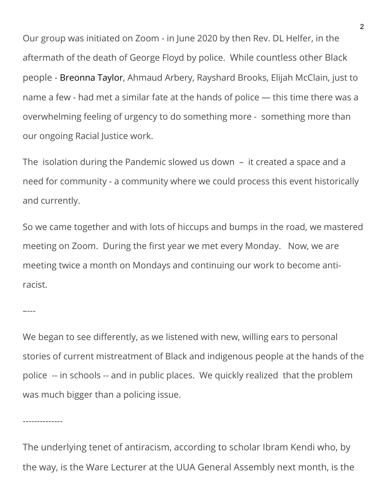Our group was initiated on Zoom - in June 2020 by then Rev. DL Helfer, in the aftermath of the death of George Floyd by police. While countless other Black people - [Breonna Taylor,](https://www.cosmopolitan.com/politics/a32756881/breonna-taylor-gofundme-petition-birthdayforbreonna/) Ahmaud Arbery, Rayshard Brooks, Elijah McClain, just to name a few - had met a similar fate at the hands of police — this time there was a overwhelming feeling of urgency to do something more - something more than our ongoing Racial Justice work.

The isolation during the Pandemic slowed us down – it created a space and a need for community - a community where we could process this event historically and currently.

So we came together and with lots of hiccups and bumps in the road, we mastered meeting on Zoom. During the first year we met every Monday. Now, we are meeting twice a month on Mondays and continuing our work to become antiracist.

We began to see differently, as we listened with new, willing ears to personal stories of current mistreatment of Black and indigenous people at the hands of the police -- in schools -- and in public places. We quickly realized that the problem was much bigger than a policing issue.

–---

--------------

The underlying tenet of antiracism, according to scholar Ibram Kendi who, by the way, is the Ware Lecturer at the UUA General Assembly next month, is the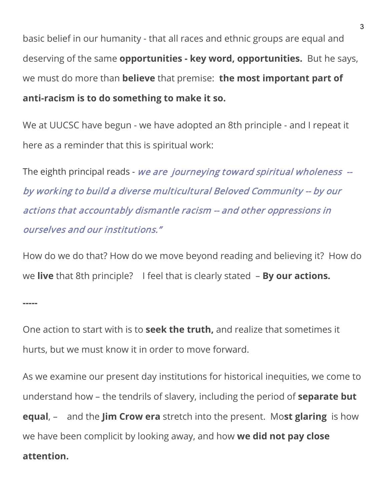basic belief in our humanity - that all races and ethnic groups are equal and deserving of the same **opportunities - key word, opportunities.** But he says, we must do more than **believe** that premise: **the most important part of anti-racism is to do something to make it so.** 

We at UUCSC have begun - we have adopted an 8th principle - and I repeat it here as a reminder that this is spiritual work:

The eighth principal reads - we are journeying toward spiritual wholeness -by working to build a diverse multicultural Beloved Community -- by our actions that accountably dismantle racism -- and other oppressions in ourselves and our institutions."

How do we do that? How do we move beyond reading and believing it? How do we **live** that 8th principle? I feel that is clearly stated – **By our actions.**

One action to start with is to **seek the truth,** and realize that sometimes it hurts, but we must know it in order to move forward.

As we examine our present day institutions for historical inequities, we come to understand how – the tendrils of slavery, including the period of **separate but equal**, – and the **Jim Crow era** stretch into the present. Mo**st glaring** is how we have been complicit by looking away, and how **we did not pay close** 

## **attention.**

**-----**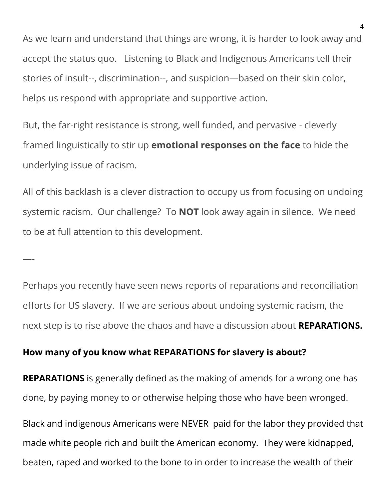As we learn and understand that things are wrong, it is harder to look away and accept the status quo. Listening to Black and Indigenous Americans tell their stories of insult--, discrimination--, and suspicion—based on their skin color, helps us respond with appropriate and supportive action.

But, the far-right resistance is strong, well funded, and pervasive - cleverly framed linguistically to stir up **emotional responses on the face** to hide the underlying issue of racism.

All of this backlash is a clever distraction to occupy us from focusing on undoing systemic racism. Our challenge? To **NOT** look away again in silence. We need to be at full attention to this development.

Perhaps you recently have seen news reports of reparations and reconciliation efforts for US slavery. If we are serious about undoing systemic racism, the next step is to rise above the chaos and have a discussion about **REPARATIONS.**

## **How many of you know what REPARATIONS for slavery is about?**

—-

**REPARATIONS** is generally defined as the making of amends for a wrong one has done, by paying money to or otherwise helping those who have been wronged.

Black and indigenous Americans were NEVER paid for the labor they provided that made white people rich and built the American economy. They were kidnapped, beaten, raped and worked to the bone to in order to increase the wealth of their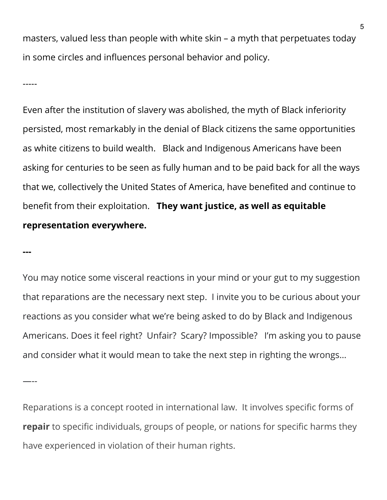masters, valued less than people with white skin – a myth that perpetuates today in some circles and influences personal behavior and policy.

-----

Even after the institution of slavery was abolished, the myth of Black inferiority persisted, most remarkably in the denial of Black citizens the same opportunities as white citizens to build wealth. Black and Indigenous Americans have been asking for centuries to be seen as fully human and to be paid back for all the ways that we, collectively the United States of America, have benefited and continue to benefit from their exploitation. **They want justice, as well as equitable representation everywhere.** 

**---**

You may notice some visceral reactions in your mind or your gut to my suggestion that reparations are the necessary next step. I invite you to be curious about your reactions as you consider what we're being asked to do by Black and Indigenous Americans. Does it feel right? Unfair? Scary? Impossible? I'm asking you to pause and consider what it would mean to take the next step in righting the wrongs…

—--

Reparations is a concept rooted in international law. It involves specific forms of **repair** to specific individuals, groups of people, or nations for specific harms they have experienced in violation of their human rights.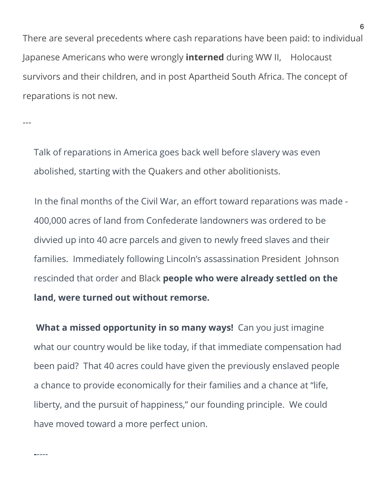There are several precedents where cash reparations have been paid: to individual Japanese Americans who were wrongly **interned** during WW II, Holocaust survivors and their children, and in post Apartheid South Africa. The concept of reparations is not new.

---

**-**----

Talk of reparations in America goes back well before slavery was even abolished, starting with the Quakers and other abolitionists.

In the final months of the Civil War, an effort toward reparations was made - 400,000 acres of land from Confederate landowners was ordered to be divvied up into 40 acre parcels and given to newly freed slaves and their families. Immediately following Lincoln's assassination President Johnson rescinded that order and Black **people who were already settled on the land, were turned out without remorse.** 

**What a missed opportunity in so many ways!** Can you just imagine what our country would be like today, if that immediate compensation had been paid? That 40 acres could have given the previously enslaved people a chance to provide economically for their families and a chance at "life, liberty, and the pursuit of happiness," our founding principle. We could have moved toward a more perfect union.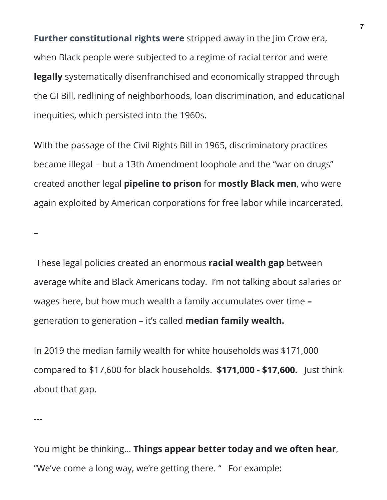**Further constitutional rights were** stripped away in the Jim Crow era, when Black people were subjected to a regime of racial terror and were **legally** systematically disenfranchised and economically strapped through the GI Bill, redlining of neighborhoods, loan discrimination, and educational inequities, which persisted into the 1960s.

With the passage of the Civil Rights Bill in 1965, discriminatory practices became illegal - but a 13th Amendment loophole and the "war on drugs" created another legal **pipeline to prison** for **mostly Black men**, who were again exploited by American corporations for free labor while incarcerated.

These legal policies created an enormous **racial wealth gap** between average white and Black Americans today. I'm not talking about salaries or wages here, but how much wealth a family accumulates over time **–**  generation to generation – it's called **median family wealth.**

In 2019 the median family wealth for white households was \$171,000 compared to \$17,600 for black households. **\$171,000 - \$17,600.** Just think about that gap.

---

–

You might be thinking… **Things appear better today and we often hear**, "We've come a long way, we're getting there. " For example: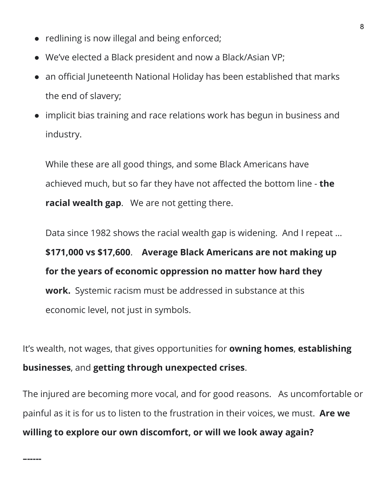- redlining is now illegal and being enforced;
- We've elected a Black president and now a Black/Asian VP;
- an official Juneteenth National Holiday has been established that marks the end of slavery;
- implicit bias training and race relations work has begun in business and industry.

While these are all good things, and some Black Americans have achieved much, but so far they have not affected the bottom line - **the racial wealth gap**. We are not getting there.

Data since 1982 shows the racial wealth gap is widening. And I repeat … **\$171,000 vs \$17,600**. **Average Black Americans are not making up for the years of economic oppression no matter how hard they work.** Systemic racism must be addressed in substance at this economic level, not just in symbols.

It's wealth, not wages, that gives opportunities for **owning homes**, **establishing businesses**, and **getting through unexpected crises**.

The injured are becoming more vocal, and for good reasons. As uncomfortable or painful as it is for us to listen to the frustration in their voices, we must. **Are we willing to explore our own discomfort, or will we look away again?**

**–-----**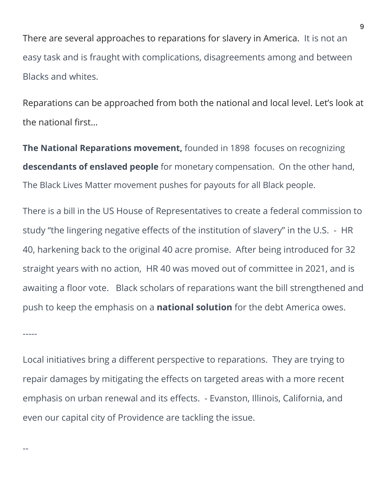There are several approaches to reparations for slavery in America. It is not an easy task and is fraught with complications, disagreements among and between Blacks and whites.

Reparations can be approached from both the national and local level. Let's look at the national first…

**The National Reparations movement,** founded in 1898 focuses on recognizing **descendants of enslaved people** for monetary compensation. On the other hand, The Black Lives Matter movement pushes for payouts for all Black people.

There is a bill in the US House of Representatives to create a federal commission to study "the lingering negative effects of the institution of slavery" in the U.S. - HR 40, harkening back to the original 40 acre promise. After being introduced for 32 straight years with no action, HR 40 was moved out of committee in 2021, and is awaiting a floor vote. Black scholars of reparations want the bill strengthened and push to keep the emphasis on a **national solution** for the debt America owes.

Local initiatives bring a different perspective to reparations. They are trying to repair damages by mitigating the effects on targeted areas with a more recent emphasis on urban renewal and its effects. - Evanston, Illinois, California, and even our capital city of Providence are tackling the issue.

-----

--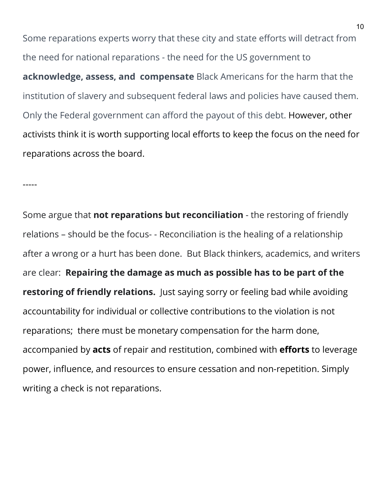Some reparations experts worry that these city and state efforts will detract from the need for national reparations - the need for the US government to **acknowledge, assess, and compensate** Black Americans for the harm that the institution of slavery and subsequent federal laws and policies have caused them. Only the Federal government can afford the payout of this debt. However, other activists think it is worth supporting local efforts to keep the focus on the need for reparations across the board.

-----

Some argue that **not reparations but reconciliation** - the restoring of friendly relations – should be the focus- - Reconciliation is the healing of a relationship after a wrong or a hurt has been done. But Black thinkers, academics, and writers are clear: **Repairing the damage as much as possible has to be part of the restoring of friendly relations.** Just saying sorry or feeling bad while avoiding accountability for individual or collective contributions to the violation is not reparations; there must be monetary compensation for the harm done, accompanied by **acts** of repair and restitution, combined with **efforts** to leverage power, influence, and resources to ensure cessation and non-repetition. Simply writing a check is not reparations.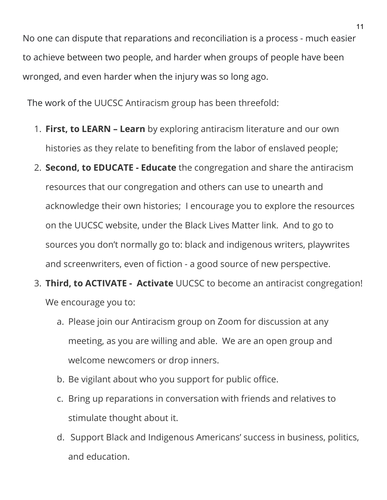No one can dispute that reparations and reconciliation is a process - much easier to achieve between two people, and harder when groups of people have been wronged, and even harder when the injury was so long ago.

The work of the UUCSC Antiracism group has been threefold:

- 1. **First, to LEARN – Learn** by exploring antiracism literature and our own histories as they relate to benefiting from the labor of enslaved people;
- 2. **Second, to EDUCATE Educate** the congregation and share the antiracism resources that our congregation and others can use to unearth and acknowledge their own histories; I encourage you to explore the resources on the UUCSC website, under the Black Lives Matter link. And to go to sources you don't normally go to: black and indigenous writers, playwrites and screenwriters, even of fiction - a good source of new perspective.
- 3. **Third, to ACTIVATE Activate** UUCSC to become an antiracist congregation! We encourage you to:
	- a. Please join our Antiracism group on Zoom for discussion at any meeting, as you are willing and able. We are an open group and welcome newcomers or drop inners.
	- b. Be vigilant about who you support for public office.
	- c. Bring up reparations in conversation with friends and relatives to stimulate thought about it.
	- d. Support Black and Indigenous Americans' success in business, politics, and education.